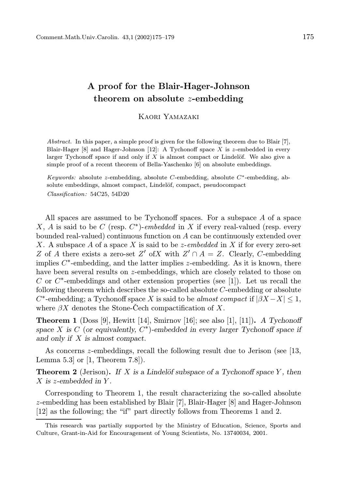## A proof for the Blair-Hager-Johnson theorem on absolute z-embedding

Kaori Yamazaki

Abstract. In this paper, a simple proof is given for the following theorem due to Blair [7], Blair-Hager [8] and Hager-Johnson [12]: A Tychonoff space X is z-embedded in every larger Tychonoff space if and only if  $X$  is almost compact or Lindelöf. We also give a simple proof of a recent theorem of Bella-Yaschenko [6] on absolute embeddings.

Keywords: absolute z-embedding, absolute  $C$ -embedding, absolute  $C^*$ -embedding, absolute embeddings, almost compact, Lindelöf, compact, pseudocompact Classification: 54C25, 54D20

All spaces are assumed to be Tychonoff spaces. For a subspace A of a space X, A is said to be C (resp.  $C^*$ )-embedded in X if every real-valued (resp. every bounded real-valued) continuous function on  $A$  can be continuously extended over X. A subspace A of a space X is said to be *z*-embedded in X if for every zero-set Z of A there exists a zero-set Z' of X with  $Z' \cap A = Z$ . Clearly, C-embedding implies  $C^*$ -embedding, and the latter implies z-embedding. As it is known, there have been several results on z-embeddings, which are closely related to those on C or  $C^*$ -embeddings and other extension properties (see [1]). Let us recall the following theorem which describes the so-called absolute C-embedding or absolute  $C^*$ -embedding; a Tychonoff space X is said to be almost compact if  $|\stackrel{\circ}{\beta}X - X| \leq 1$ , where  $\beta X$  denotes the Stone-Cech compactification of X.

**Theorem 1** (Doss [9], Hewitt [14], Smirnov [16]; see also [1], [11]). A Tychonoff space X is C (or equivalently,  $C^*$ )-embedded in every larger Tychonoff space if and only if X is almost compact.

As concerns z-embeddings, recall the following result due to Jerison (see [13, Lemma 5.3] or [1, Theorem 7.8]).

**Theorem 2** (Jerison). If X is a Lindelöf subspace of a Tychonoff space Y, then  $X$  is z-embedded in Y.

Corresponding to Theorem 1, the result characterizing the so-called absolute z-embedding has been established by Blair [7], Blair-Hager [8] and Hager-Johnson [12] as the following; the "if" part directly follows from Theorems 1 and 2.

This research was partially supported by the Ministry of Education, Science, Sports and Culture, Grant-in-Aid for Encouragement of Young Scientists, No. 13740034, 2001.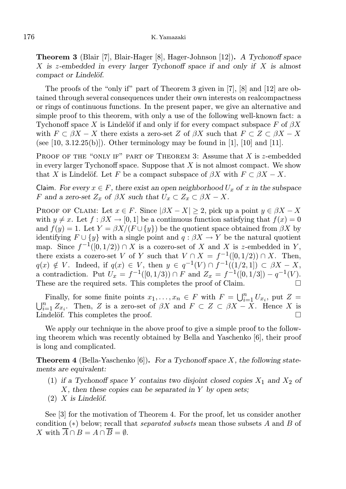Theorem 3 (Blair [7], Blair-Hager [8], Hager-Johnson [12]). A Tychonoff space X is z-embedded in every larger Tychonoff space if and only if  $X$  is almost compact or Lindelöf.

The proofs of the "only if" part of Theorem 3 given in [7], [8] and [12] are obtained through several consequences under their own interests on realcompactness or rings of continuous functions. In the present paper, we give an alternative and simple proof to this theorem, with only a use of the following well-known fact: a Tychonoff space X is Lindelöf if and only if for every compact subspace  $F$  of  $\beta X$ with  $F \subset \beta X - X$  there exists a zero-set Z of  $\beta X$  such that  $F \subset Z \subset \beta X - X$ (see [10, 3.12.25(b)]). Other terminology may be found in [1], [10] and [11].

PROOF OF THE "ONLY IF" PART OF THEOREM 3: Assume that  $X$  is  $z$ -embedded in every larger Tychonoff space. Suppose that  $X$  is not almost compact. We show that X is Lindelöf. Let F be a compact subspace of  $\beta X$  with  $F \subset \beta X - X$ .

Claim. For every  $x \in F$ , there exist an open neighborhood  $U_x$  of x in the subspace F and a zero-set  $Z_x$  of  $\beta X$  such that  $U_x \subset Z_x \subset \beta X - X$ .

PROOF OF CLAIM: Let  $x \in F$ . Since  $|\beta X - X| \geq 2$ , pick up a point  $y \in \beta X - X$ with  $y \neq x$ . Let  $f : \beta X \to [0, 1]$  be a continuous function satisfying that  $f(x) = 0$ and  $f(y) = 1$ . Let  $Y = \beta X/(F \cup \{y\})$  be the quotient space obtained from  $\beta X$  by identifying  $F \cup \{y\}$  with a single point and  $q : \beta X \to Y$  be the natural quotient map. Since  $f^{-1}([0,1/2)) \cap X$  is a cozero-set of X and X is z-embedded in Y, there exists a cozero-set V of Y such that  $V \cap X = f^{-1}([0, 1/2)) \cap X$ . Then,  $q(x) \notin V$ . Indeed, if  $q(x) \in V$ , then  $y \in q^{-1}(V) \cap f^{-1}((1/2, 1]) \subset \beta X - X$ , a contradiction. Put  $U_x = f^{-1}([0, 1/3)) \cap F$  and  $Z_x = f^{-1}([0, 1/3]) - q^{-1}(V)$ . These are the required sets. This completes the proof of Claim.

Finally, for some finite points  $x_1, \ldots, x_n \in F$  with  $F = \bigcup_{i=1}^n U_{x_i}$ , put  $Z =$  $\bigcup_{i=1}^n Z_{x_i}$ . Then, Z is a zero-set of  $\beta X$  and  $F \subset Z \subset \beta X - X$ . Hence X is Lindelöf. This completes the proof.  $\square$ 

We apply our technique in the above proof to give a simple proof to the following theorem which was recently obtained by Bella and Yaschenko [6], their proof is long and complicated.

**Theorem 4** (Bella-Yaschenko [6]). For a Tychonoff space  $X$ , the following statements are equivalent:

- (1) if a Tychonoff space Y contains two disjoint closed copies  $X_1$  and  $X_2$  of  $X$ , then these copies can be separated in Y by open sets;
- $(2)$  X is Lindelöf.

See [3] for the motivation of Theorem 4. For the proof, let us consider another condition  $(*)$  below; recall that *separated subsets* mean those subsets A and B of X with  $\overline{A} \cap B = A \cap \overline{B} = \emptyset$ .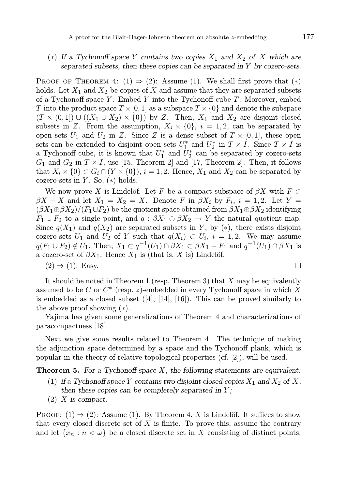## (\*) If a Tychonoff space Y contains two copies  $X_1$  and  $X_2$  of X which are separated subsets, then these copies can be separated in Y by cozero-sets.

PROOF OF THEOREM 4:  $(1) \Rightarrow (2)$ : Assume (1). We shall first prove that  $(*)$ holds. Let  $X_1$  and  $X_2$  be copies of X and assume that they are separated subsets of a Tychonoff space Y. Embed Y into the Tychonoff cube  $T$ . Moreover, embed T into the product space  $T \times [0, 1]$  as a subspace  $T \times \{0\}$  and denote the subspace  $(T \times (0,1]) \cup ((X_1 \cup X_2) \times \{0\})$  by Z. Then,  $X_1$  and  $X_2$  are disjoint closed subsets in Z. From the assumption,  $X_i \times \{0\}$ ,  $i = 1, 2$ , can be separated by open sets  $U_1$  and  $U_2$  in Z. Since Z is a dense subset of  $T \times [0,1]$ , these open sets can be extended to disjoint open sets  $U_1^*$  $_1^*$  and  $U_2^*$  $i_2^*$  in  $T \times I$ . Since  $T \times I$  is a Tychonoff cube, it is known that  $U_1^*$  $i_1^*$  and  $\dot{U}_2^*$ <sup>\*</sup><sub>2</sub> can be separated by cozero-sets  $G_1$  and  $G_2$  in  $T \times I$ , use [15, Theorem 2] and [17, Theorem 2]. Then, it follows that  $X_i \times \{0\} \subset G_i \cap (Y \times \{0\}), i = 1, 2$ . Hence,  $X_1$  and  $X_2$  can be separated by cozero-sets in Y. So,  $(*)$  holds.

We now prove X is Lindelöf. Let F be a compact subspace of  $\beta X$  with  $F \subset$  $\beta X - X$  and let  $X_1 = X_2 = X$ . Denote F in  $\beta X_i$  by  $F_i$ ,  $i = 1, 2$ . Let  $Y =$  $(\beta X_1 \oplus \beta X_2)/(F_1 \cup F_2)$  be the quotient space obtained from  $\beta X_1 \oplus \beta X_2$  identifying  $F_1 \cup F_2$  to a single point, and  $q : \beta X_1 \oplus \beta X_2 \rightarrow Y$  the natural quotient map. Since  $q(X_1)$  and  $q(X_2)$  are separated subsets in Y, by (\*), there exists disjoint cozero-sets  $U_1$  and  $U_2$  of Y such that  $q(X_i) \subset U_i$ ,  $i = 1, 2$ . We may assume  $q(F_1 \cup F_2) \notin U_1$ . Then,  $X_1 \subset q^{-1}(U_1) \cap \beta X_1 \subset \beta X_1 - F_1$  and  $q^{-1}(U_1) \cap \beta X_1$  is a cozero-set of  $\beta X_1$ . Hence  $X_1$  is (that is, X is) Lindelöf.

$$
(2) \Rightarrow (1): \text{Easy.} \qquad \qquad \Box
$$

It should be noted in Theorem 1 (resp. Theorem 3) that  $X$  may be equivalently assumed to be C or  $C^*$  (resp. z)-embedded in every Tychonoff space in which X is embedded as a closed subset ([4], [14], [16]). This can be proved similarly to the above proof showing (∗).

Yajima has given some generalizations of Theorem 4 and characterizations of paracompactness [18].

Next we give some results related to Theorem 4. The technique of making the adjunction space determined by a space and the Tychonoff plank, which is popular in the theory of relative topological properties (cf. [2]), will be used.

**Theorem 5.** For a Tychonoff space  $X$ , the following statements are equivalent:

- (1) if a Tychonoff space Y contains two disjoint closed copies  $X_1$  and  $X_2$  of X, then these copies can be completely separated in  $Y$ ;
- (2) X is compact.

PROOF:  $(1) \Rightarrow (2)$ : Assume  $(1)$ . By Theorem 4, X is Lindelöf. It suffices to show that every closed discrete set of  $X$  is finite. To prove this, assume the contrary and let  $\{x_n : n < \omega\}$  be a closed discrete set in X consisting of distinct points.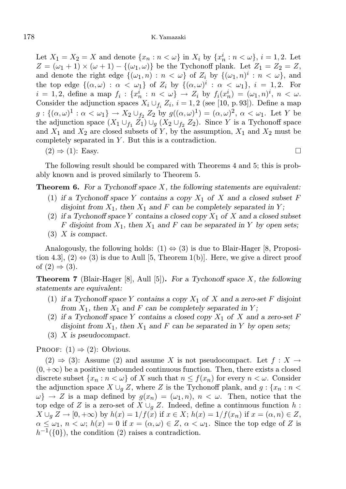Let  $X_1 = X_2 = X$  and denote  $\{x_n : n < \omega\}$  in  $X_i$  by  $\{x_n^i : n < \omega\}$ ,  $i = 1, 2$ . Let  $Z = (\omega_1 + 1) \times (\omega + 1) - \{(\omega_1, \omega)\}\$ be the Tychonoff plank. Let  $Z_1 = Z_2 = Z$ , and denote the right edge  $\{(\omega_1, n) : n < \omega\}$  of  $Z_i$  by  $\{(\omega_1, n)^i : n < \omega\}$ , and the top edge  $\{(\alpha,\omega) : \alpha < \omega_1\}$  of  $Z_i$  by  $\{(\alpha,\omega)^i : \alpha < \omega_1\}, i = 1,2$ . For  $i = 1, 2$ , define a map  $f_i: \{x_n^i : n < \omega\} \to Z_i$  by  $f_i(x_n^i) = (\omega_1, n)^i$ ,  $n < \omega$ . Consider the adjunction spaces  $X_i \cup_{f_i} Z_i$ ,  $i = 1, 2$  (see [10, p. 93]). Define a map  $g: \{(\alpha,\omega)^1 : \alpha < \omega_1\} \to X_2 \cup_{f_2} Z_2$  by  $g((\alpha,\omega)^1) = (\alpha,\omega)^2, \alpha < \omega_1$ . Let Y be the adjunction space  $(X_1 \cup_{f_1} Z_1) \cup_g (X_2 \cup_{f_2} Z_2)$ . Since Y is a Tychonoff space and  $X_1$  and  $X_2$  are closed subsets of Y, by the assumption,  $X_1$  and  $X_2$  must be completely separated in Y. But this is a contradiction.

$$
(2) \Rightarrow (1): \text{ Easy.} \qquad \qquad \Box
$$

The following result should be compared with Theorems 4 and 5; this is probably known and is proved similarly to Theorem 5.

**Theorem 6.** For a Tychonoff space  $X$ , the following statements are equivalent:

- (1) if a Tychonoff space Y contains a copy  $X_1$  of X and a closed subset F disjoint from  $X_1$ , then  $X_1$  and F can be completely separated in Y;
- (2) if a Tychonoff space Y contains a closed copy  $X_1$  of X and a closed subset F disjoint from  $X_1$ , then  $X_1$  and F can be separated in Y by open sets;
- $(3)$  X is compact.

Analogously, the following holds:  $(1) \Leftrightarrow (3)$  is due to Blair-Hager [8, Proposition 4.3,  $(2) \Leftrightarrow (3)$  is due to Aull [5, Theorem 1(b)]. Here, we give a direct proof of  $(2) \Rightarrow (3)$ .

**Theorem 7** (Blair-Hager [8], Aull [5]). For a Tychonoff space X, the following statements are equivalent:

- (1) if a Tychonoff space Y contains a copy  $X_1$  of X and a zero-set F disjoint from  $X_1$ , then  $X_1$  and F can be completely separated in Y;
- (2) if a Tychonoff space Y contains a closed copy  $X_1$  of X and a zero-set F disjoint from  $X_1$ , then  $X_1$  and F can be separated in Y by open sets;
- (3) X is pseudocompact.

PROOF:  $(1) \Rightarrow (2)$ : Obvious.

 $(2) \Rightarrow (3)$ : Assume (2) and assume X is not pseudocompact. Let  $f : X \rightarrow$  $(0, +\infty)$  be a positive unbounded continuous function. Then, there exists a closed discrete subset  $\{x_n : n < \omega\}$  of X such that  $n \leq f(x_n)$  for every  $n < \omega$ . Consider the adjunction space  $X \cup_q Z$ , where Z is the Tychonoff plank, and  $g : \{x_n : n \leq z \}$  $\{\omega\} \to Z$  is a map defined by  $g(x_n) = (\omega_1, n), n < \omega$ . Then, notice that the top edge of Z is a zero-set of  $X \cup_q Z$ . Indeed, define a continuous function h:  $X \cup_q Z \to [0, +\infty)$  by  $h(x) = 1/f(x)$  if  $x \in X$ ;  $h(x) = 1/f(x_n)$  if  $x = (\alpha, n) \in Z$ ,  $\alpha \leq \omega_1, n < \omega$ ;  $h(x) = 0$  if  $x = (\alpha, \omega) \in Z$ ,  $\alpha < \omega_1$ . Since the top edge of Z is  $h^{-1}(\{0\})$ , the condition (2) raises a contradiction.